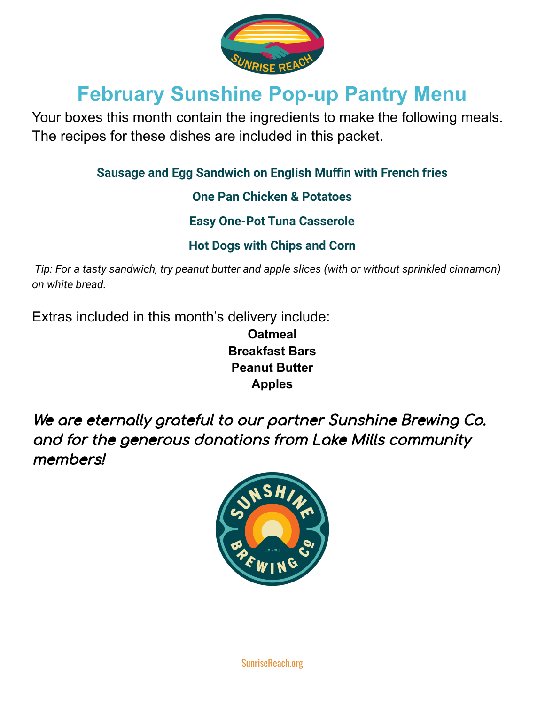

# **February Sunshine Pop-up Pantry Menu**

Your boxes this month contain the ingredients to make the following meals. The recipes for these dishes are included in this packet.

**Sausage and Egg Sandwich on English Muffin with French fries**

**One Pan Chicken & Potatoes**

**Easy One-Pot Tuna Casserole**

**Hot Dogs with Chips and Corn**

*Tip: For a tasty sandwich, try peanut butter and apple slices (with or without sprinkled cinnamon) on white bread.*

Extras included in this month's delivery include:

**Oatmeal Breakfast Bars Peanut Butter Apples**

We are eternally grateful to our partner Sunshine Brewing Co. and for the generous donations from Lake Mills community members!



SunriseReach.org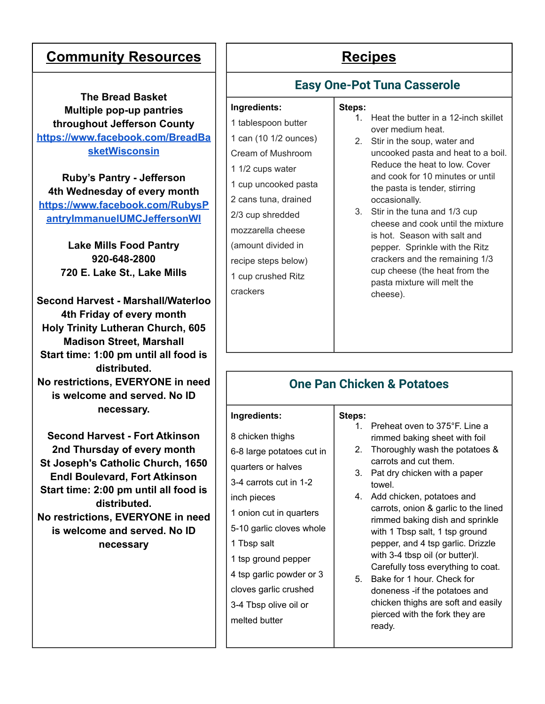# **Community Resources** | | Recipes

**The Bread Basket Multiple pop-up pantries throughout Jefferson County [https://www.facebook.com/BreadBa](https://www.facebook.com/BreadBasketWisconsin) [sketWisconsin](https://www.facebook.com/BreadBasketWisconsin)**

**Ruby's Pantry - Jefferson 4th Wednesday of every month [https://www.facebook.com/RubysP](https://www.facebook.com/RubysPantryImmanuelUMCJeffersonWI) [antryImmanuelUMCJeffersonWI](https://www.facebook.com/RubysPantryImmanuelUMCJeffersonWI)**

> **Lake Mills Food Pantry 920-648-2800 720 E. Lake St., Lake Mills**

**Second Harvest - Marshall/Waterloo 4th Friday of every month Holy Trinity Lutheran Church, 605 Madison Street, Marshall Start time: 1:00 pm until all food is distributed. No restrictions, EVERYONE in need is welcome and served. No ID necessary.**

**Second Harvest - Fort Atkinson 2nd Thursday of every month St Joseph's Catholic Church, 1650 Endl Boulevard, Fort Atkinson Start time: 2:00 pm until all food is distributed. No restrictions, EVERYONE in need is welcome and served. No ID necessary**

# **Easy One-Pot Tuna Casserole**

#### **Ingredients:**

1 tablespoon butter 1 can (10 1/2 ounces) Cream of Mushroom 1 1/2 cups water 1 cup uncooked pasta 2 cans tuna, drained 2/3 cup shredded mozzarella cheese (amount divided in recipe steps below) 1 cup crushed Ritz crackers

### **Steps:**

- 1. Heat the butter in a 12-inch skillet over medium heat.
- 2. Stir in the soup, water and uncooked pasta and heat to a boil. Reduce the heat to low. Cover and cook for 10 minutes or until the pasta is tender, stirring occasionally.
- 3. Stir in the tuna and 1/3 cup cheese and cook until the mixture is hot. Season with salt and pepper. Sprinkle with the Ritz crackers and the remaining 1/3 cup cheese (the heat from the pasta mixture will melt the cheese).

## **One Pan Chicken & Potatoes**

#### **Ingredients:**

| 8 chicken thighs          |
|---------------------------|
| 6-8 large potatoes cut in |
| quarters or halves        |
| 3-4 carrots cut in 1-2    |
| inch pieces               |
| 1 onion cut in quarters   |
| 5-10 garlic cloves whole  |
| 1 Tbsp salt               |
| 1 tsp ground pepper       |
| 4 tsp garlic powder or 3  |
| cloves garlic crushed     |
| 3-4 Tbsp olive oil or     |
| melted butter             |
|                           |

#### **Steps:**

- 1. Preheat oven to 375°F. Line a rimmed baking sheet with foil
- 2. Thoroughly wash the potatoes & carrots and cut them.
- 3. Pat dry chicken with a paper towel.
- 4. Add chicken, potatoes and carrots, onion & garlic to the lined rimmed baking dish and sprinkle with 1 Tbsp salt, 1 tsp ground pepper, and 4 tsp garlic. Drizzle with 3-4 tbsp oil (or butter)l. Carefully toss everything to coat.
- 5. Bake for 1 hour. Check for doneness -if the potatoes and chicken thighs are soft and easily pierced with the fork they are ready.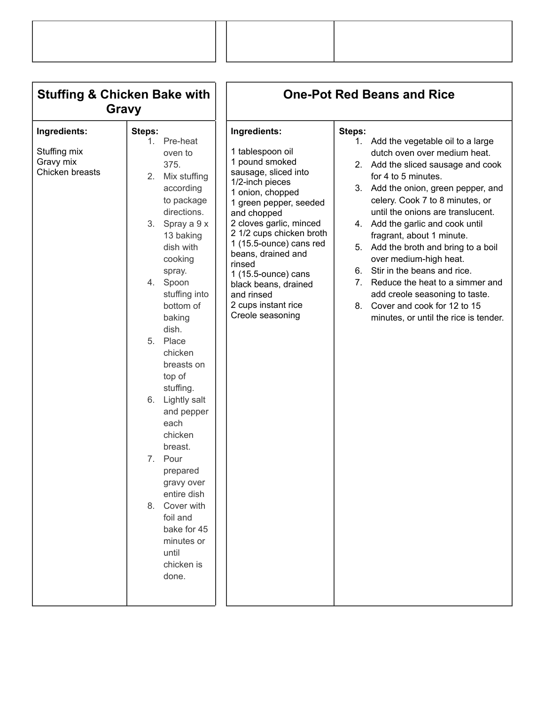| <b>Stuffing &amp; Chicken Bake with</b><br>Gravy             |                                                                                                                                                                                                                                                                                                                                                                                                                                                                                                                       | <b>One-Pot Red Beans and Rice</b>                                                                                                                                                                                                                                                                                                                                                    |                                                                                                                                                                                                                                                                                                                                                                                                                                                                                                                                                                                                  |  |
|--------------------------------------------------------------|-----------------------------------------------------------------------------------------------------------------------------------------------------------------------------------------------------------------------------------------------------------------------------------------------------------------------------------------------------------------------------------------------------------------------------------------------------------------------------------------------------------------------|--------------------------------------------------------------------------------------------------------------------------------------------------------------------------------------------------------------------------------------------------------------------------------------------------------------------------------------------------------------------------------------|--------------------------------------------------------------------------------------------------------------------------------------------------------------------------------------------------------------------------------------------------------------------------------------------------------------------------------------------------------------------------------------------------------------------------------------------------------------------------------------------------------------------------------------------------------------------------------------------------|--|
| Ingredients:<br>Stuffing mix<br>Gravy mix<br>Chicken breasts | Steps:<br>1. Pre-heat<br>oven to<br>375.<br>2.<br>Mix stuffing<br>according<br>to package<br>directions.<br>3. Spray a 9 x<br>13 baking<br>dish with<br>cooking<br>spray.<br>4. Spoon<br>stuffing into<br>bottom of<br>baking<br>dish.<br>5. Place<br>chicken<br>breasts on<br>top of<br>stuffing.<br>Lightly salt<br>6.<br>and pepper<br>each<br>chicken<br>breast.<br>7. Pour<br>prepared<br>gravy over<br>entire dish<br>Cover with<br>8.<br>foil and<br>bake for 45<br>minutes or<br>until<br>chicken is<br>done. | Ingredients:<br>1 tablespoon oil<br>1 pound smoked<br>sausage, sliced into<br>1/2-inch pieces<br>1 onion, chopped<br>1 green pepper, seeded<br>and chopped<br>2 cloves garlic, minced<br>2 1/2 cups chicken broth<br>1 (15.5-ounce) cans red<br>beans, drained and<br>rinsed<br>1 (15.5-ounce) cans<br>black beans, drained<br>and rinsed<br>2 cups instant rice<br>Creole seasoning | Steps:<br>1. Add the vegetable oil to a large<br>dutch oven over medium heat.<br>2. Add the sliced sausage and cook<br>for 4 to 5 minutes.<br>Add the onion, green pepper, and<br>3.<br>celery. Cook 7 to 8 minutes, or<br>until the onions are translucent.<br>4. Add the garlic and cook until<br>fragrant, about 1 minute.<br>Add the broth and bring to a boil<br>5.<br>over medium-high heat.<br>Stir in the beans and rice.<br>6.<br>Reduce the heat to a simmer and<br>7.<br>add creole seasoning to taste.<br>Cover and cook for 12 to 15<br>8.<br>minutes, or until the rice is tender. |  |